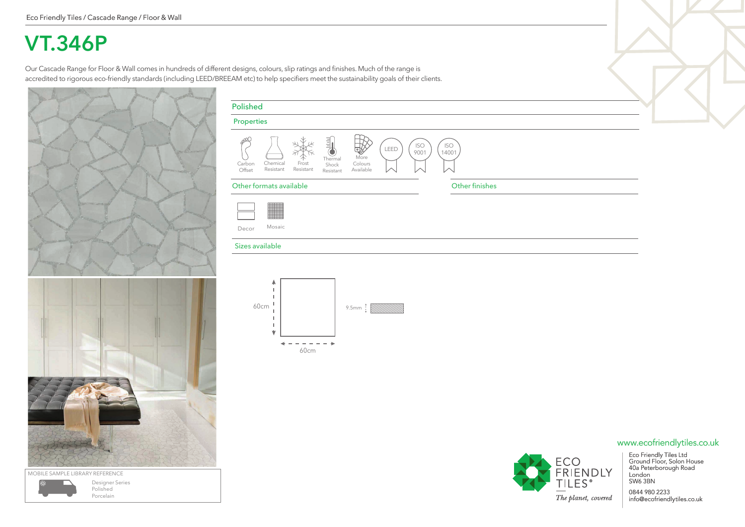## **VT.346P**

Our Cascade Range for Floor & Wall comes in hundreds of different designs, colours, slip ratings and finishes. Much of the range is accredited to rigorous eco-friendly standards (including LEED/BREEAM etc) to help specifiers meet the sustainability goals of their clients.



| MOBILE SAMPLE LIBRARY REFERENCE |                                          |
|---------------------------------|------------------------------------------|
|                                 | Designer Series<br>Polished<br>Porcelain |

| <b>Properties</b> |                       |                    |                                                                         |                              |      |                    |                     |
|-------------------|-----------------------|--------------------|-------------------------------------------------------------------------|------------------------------|------|--------------------|---------------------|
| Carbon<br>Offset  | Chemical<br>Resistant | Frost<br>Resistant | $\sim$<br>$\equiv$<br>$\sim$<br>$\sim$<br>Thermal<br>Shock<br>Resistant | More<br>Colours<br>Available | LEED | <b>ISO</b><br>9001 | <b>ISO</b><br>14001 |

## Other formats available **Other finishes**



Decor Mosaic

## Sizes available





Eco Friendly Tiles Ltd Ground Floor, Solon House 40a Peterborough Road www.ecofriendlytiles.co.uk

0844 980 2233 info@ecofriendlytiles.co.uk